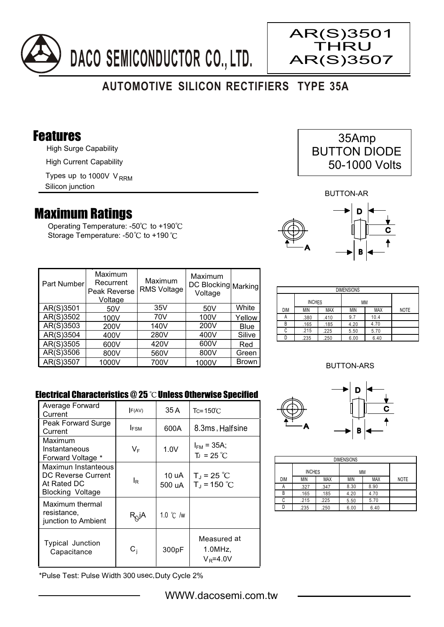

# **AUTOMOTIVE SILICON RECTIFIERS TYPE 35A**

### Features

High Surge Capability

High Current Capability

Types up to 1000V V<sub>RRM</sub>

Silicon junction

## Maximum Ratings

Operating Temperature: - $50^{\circ}$ C to +190 $^{\circ}$ C Storage Temperature: -50°C to +190°C

| 35Amp               |
|---------------------|
| <b>BUTTON DIODE</b> |
| 50-1000 Volts       |

AR(S)3501 THRU AR(S)3507

BUTTON-AR



| Part Number | Maximum<br>Recurrent<br>Peak Reverse<br>Voltage | Maximum<br><b>RMS Voltage</b> | Maximum<br>DC Blocking Marking<br>Voltage |              |
|-------------|-------------------------------------------------|-------------------------------|-------------------------------------------|--------------|
| AR(S)3501   | 50 <sub>V</sub>                                 | 35V                           | 50V                                       | White        |
| AR(S)3502   | 100V                                            | 70V                           | 100V                                      | Yellow       |
| AR(S)3503   | 200V                                            | 140V                          | 200V                                      | <b>Blue</b>  |
| AR(S)3504   | 400V                                            | 280V                          | 400V                                      | Silive       |
| AR(S)3505   | 600V                                            | 420V                          | 600V                                      | Red          |
| AR(S)3506   | 800V                                            | 560V                          | 800V                                      | Green        |
| AR(S)3507   | 1000V                                           | 700V                          | 1000V                                     | <b>Brown</b> |

| <b>DIMENSIONS</b> |               |            |      |            |             |
|-------------------|---------------|------------|------|------------|-------------|
|                   | <b>INCHES</b> |            | МM   |            |             |
| DIM               | MIN           | <b>MAX</b> | MIN  | <b>MAX</b> | <b>NOTE</b> |
| А                 | .380          | .410       | 9.7  | 10.4       |             |
| B                 | .165          | .185       | 4.20 | 4.70       |             |
| C                 | .215          | .225       | 5.50 | 5.70       |             |
|                   | .235          | .250       | 6.00 | 6.40       |             |

#### BUTTON-ARS

#### Electrical Characteristics  $@25$   $^{\circ}$ C Unless Otherwise Specified

| Average Forward<br>Current                                                          | F(AV)       | 35 A            | $Tc = 150^{\circ}$ C                  |
|-------------------------------------------------------------------------------------|-------------|-----------------|---------------------------------------|
| Peak Forward Surge<br>Current                                                       | <b>IFSM</b> | 600A            | 8.3ms, Halfsine                       |
| Maximum<br>Instantaneous<br>Forward Voltage *                                       | VF          | 1.0V            | $I_{FM}$ = 35A;<br>$T_{J}$ = 25 °C    |
| Maximun Instanteous<br>DC Reverse Current<br>At Rated DC<br><b>Blocking Voltage</b> | lR          | 10 uA<br>500 uA | $T_J = 25 °C$<br>$T_{J}$ = 150 °C     |
| Maximum thermal<br>resistance,<br>junction to Ambient                               | $R_Q$ jA    | 1.0 ℃ /w        |                                       |
| Typical Junction<br>Capacitance                                                     | $\rm C_i$   | 300pF           | Measured at<br>1.0MHz<br>$V_R = 4.0V$ |



| <b>DIMENSIONS</b> |                     |            |            |            |             |
|-------------------|---------------------|------------|------------|------------|-------------|
|                   | <b>INCHES</b><br>МM |            |            |            |             |
| DIM               | <b>MIN</b>          | <b>MAX</b> | <b>MIN</b> | <b>MAX</b> | <b>NOTE</b> |
| Α                 | .327                | .347       | 8.30       | 8.90       |             |
| В                 | .165                | .185       | 4.20       | 4.70       |             |
| C                 | .215                | .225       | 5.50       | 5.70       |             |
|                   | .235                | .250       | 6.00       | 6.40       |             |

\*Pulse Test: Pulse Width 300 usec,Duty Cycle 2%